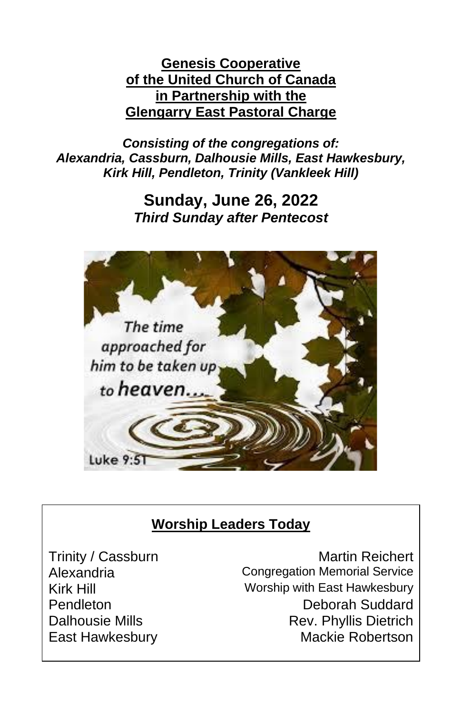#### **Genesis Cooperative of the United Church of Canada in Partnership with the Glengarry East Pastoral Charge**

*Consisting of the congregations of: Alexandria, Cassburn, Dalhousie Mills, East Hawkesbury, Kirk Hill, Pendleton, Trinity (Vankleek Hill)*

## **Sunday, June 26, 2022** *Third Sunday after Pentecost*



## **Worship Leaders Today**

Trinity / Cassburn Martin Reichert Alexandria Congregation Memorial Service Kirk Hill Worship with East Hawkesbury Pendleton Deborah Suddard Dalhousie Mills **Rev. Phyllis Dietrich** East Hawkesbury **Mackie Robertson**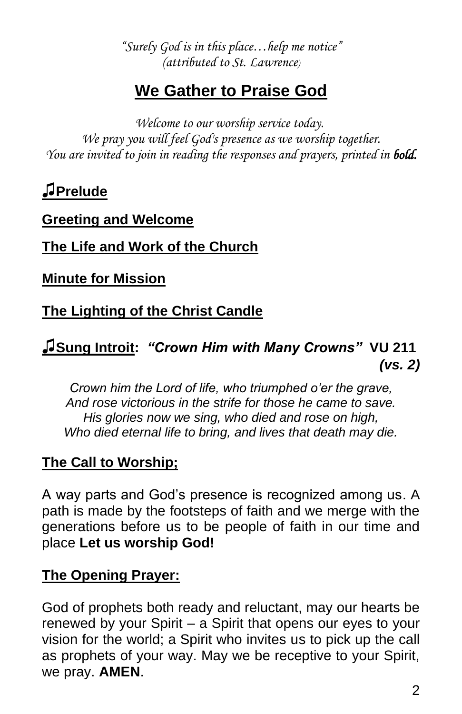*"Surely God is in this place…help me notice" (attributed to St. Lawrence)* 

# **We Gather to Praise God**

*Welcome to our worship service today. We pray you will feel God's presence as we worship together. You are invited to join in reading the responses and prayers, printed in bold.*

**♫Prelude**

#### **Greeting and Welcome**

#### **The Life and Work of the Church**

**Minute for Mission**

## **The Lighting of the Christ Candle**

### **♫Sung Introit:** *"Crown Him with Many Crowns"* **VU 211** *(vs. 2)*

*Crown him the Lord of life, who triumphed o'er the grave, And rose victorious in the strife for those he came to save. His glories now we sing, who died and rose on high, Who died eternal life to bring, and lives that death may die.*

### **The Call to Worship;**

A way parts and God's presence is recognized among us. A path is made by the footsteps of faith and we merge with the generations before us to be people of faith in our time and place **Let us worship God!** 

### **The Opening Prayer:**

God of prophets both ready and reluctant, may our hearts be renewed by your Spirit – a Spirit that opens our eyes to your vision for the world; a Spirit who invites us to pick up the call as prophets of your way. May we be receptive to your Spirit, we pray. **AMEN**.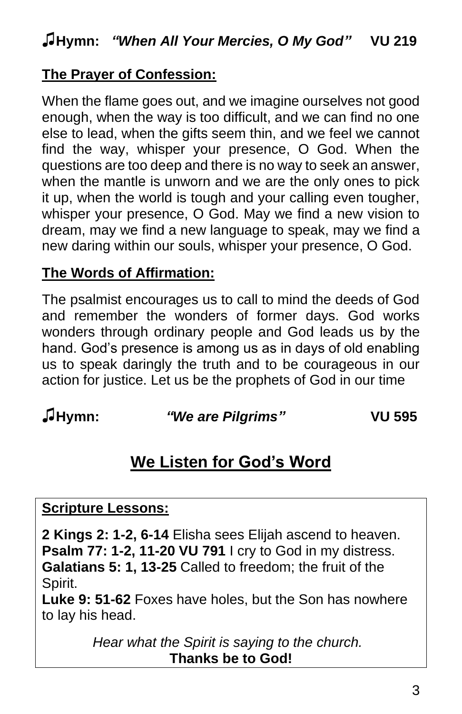## **The Prayer of Confession:**

When the flame goes out, and we imagine ourselves not good enough, when the way is too difficult, and we can find no one else to lead, when the gifts seem thin, and we feel we cannot find the way, whisper your presence, O God. When the questions are too deep and there is no way to seek an answer, when the mantle is unworn and we are the only ones to pick it up, when the world is tough and your calling even tougher, whisper your presence, O God. May we find a new vision to dream, may we find a new language to speak, may we find a new daring within our souls, whisper your presence, O God.

### **The Words of Affirmation:**

The psalmist encourages us to call to mind the deeds of God and remember the wonders of former days. God works wonders through ordinary people and God leads us by the hand. God's presence is among us as in days of old enabling us to speak daringly the truth and to be courageous in our action for justice. Let us be the prophets of God in our time

#### **♫Hymn:** *"We are Pilgrims"* **VU 595**

# **We Listen for God's Word**

#### **Scripture Lessons:**

**2 Kings 2: 1-2, 6-14** Elisha sees Elijah ascend to heaven. **Psalm 77: 1-2, 11-20 VU 791** I cry to God in my distress. **Galatians 5: 1, 13-25** Called to freedom; the fruit of the Spirit.

**Luke 9: 51-62** Foxes have holes, but the Son has nowhere to lay his head.

> *Hear what the Spirit is saying to the church.* **Thanks be to God!**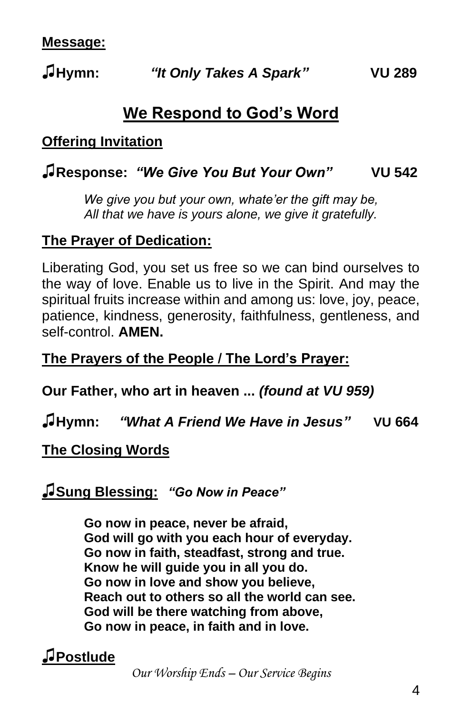# **We Respond to God's Word**

### **Offering Invitation**

## **♫Response:** *"We Give You But Your Own"* **VU 542**

*We give you but your own, whate'er the gift may be, All that we have is yours alone, we give it gratefully.*

### **The Prayer of Dedication:**

Liberating God, you set us free so we can bind ourselves to the way of love. Enable us to live in the Spirit. And may the spiritual fruits increase within and among us: love, joy, peace, patience, kindness, generosity, faithfulness, gentleness, and self-control. **AMEN.**

### **The Prayers of the People / The Lord's Prayer:**

**Our Father, who art in heaven ...** *(found at VU 959)*

**♫Hymn:** *"What A Friend We Have in Jesus"* **VU 664**

### **The Closing Words**

### **♫Sung Blessing:** *"Go Now in Peace"*

**Go now in peace, never be afraid, God will go with you each hour of everyday. Go now in faith, steadfast, strong and true. Know he will guide you in all you do. Go now in love and show you believe, Reach out to others so all the world can see. God will be there watching from above, Go now in peace, in faith and in love.**

## **♫Postlude**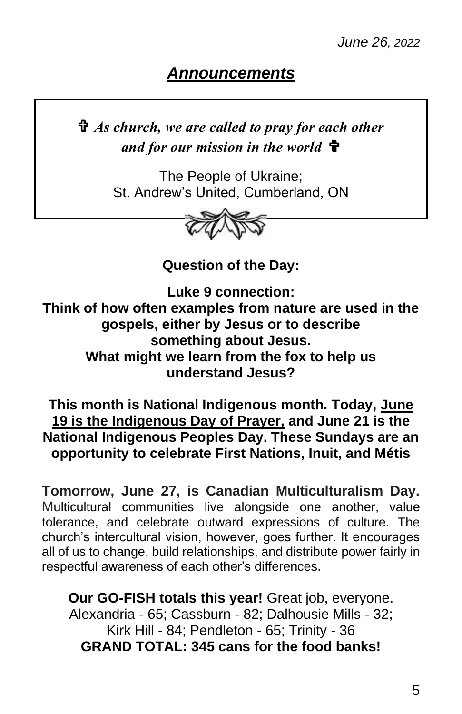## *Announcements*

 *As church, we are called to pray for each other and for our mission in the world*

> The People of Ukraine; St. Andrew's United, Cumberland, ON



**Question of the Day:**

**Luke 9 connection: Think of how often examples from nature are used in the gospels, either by Jesus or to describe something about Jesus. What might we learn from the fox to help us understand Jesus?**

**This month is National Indigenous month. Today, June 19 is the Indigenous Day of Prayer, and June 21 is the National Indigenous Peoples Day. These Sundays are an opportunity to celebrate First Nations, Inuit, and Métis**

**Tomorrow, June 27, is Canadian Multiculturalism Day.** Multicultural communities live alongside one another, value tolerance, and celebrate outward expressions of culture. The church's intercultural vision, however, goes further. It encourages all of us to change, build relationships, and distribute power fairly in respectful awareness of each other's differences.

**Our GO-FISH totals this year!** Great job, everyone. Alexandria - 65; Cassburn - 82; Dalhousie Mills - 32; Kirk Hill - 84; Pendleton - 65; Trinity - 36 **GRAND TOTAL: 345 cans for the food banks!**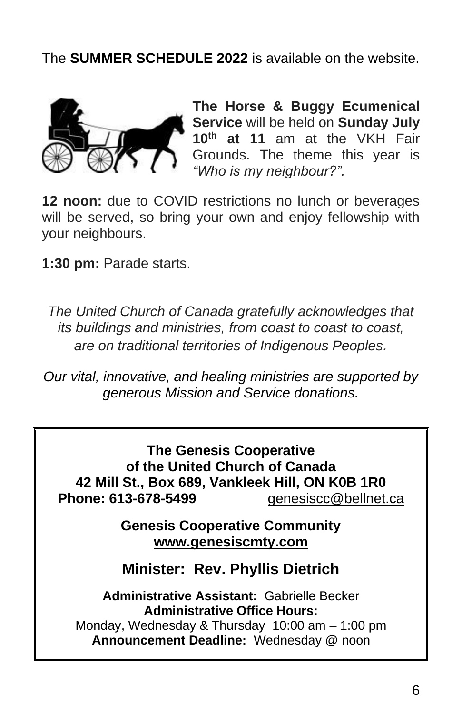The **SUMMER SCHEDULE 2022** is available on the website.



**The Horse & Buggy Ecumenical Service** will be held on **Sunday July 10th at 11** am at the VKH Fair Grounds. The theme this year is *"Who is my neighbour?".* 

**12 noon:** due to COVID restrictions no lunch or beverages will be served, so bring your own and enjoy fellowship with your neighbours.

**1:30 pm:** Parade starts.

*The United Church of Canada gratefully acknowledges that its buildings and ministries, from coast to coast to coast, are on traditional territories of Indigenous Peoples.*

*Our vital, innovative, and healing ministries are supported by generous Mission and Service donations.*

**The Genesis Cooperative of the United Church of Canada 42 Mill St., Box 689, Vankleek Hill, ON K0B 1R0 Phone: 613-678-5499** [genesiscc@bellnet.ca](mailto:genesiscc@bellnet.ca)

> **Genesis Cooperative Community www.genesiscmty.com**

**Minister: Rev. Phyllis Dietrich**

**Administrative Assistant:** Gabrielle Becker **Administrative Office Hours:** Monday, Wednesday & Thursday 10:00 am – 1:00 pm **Announcement Deadline:** Wednesday @ noon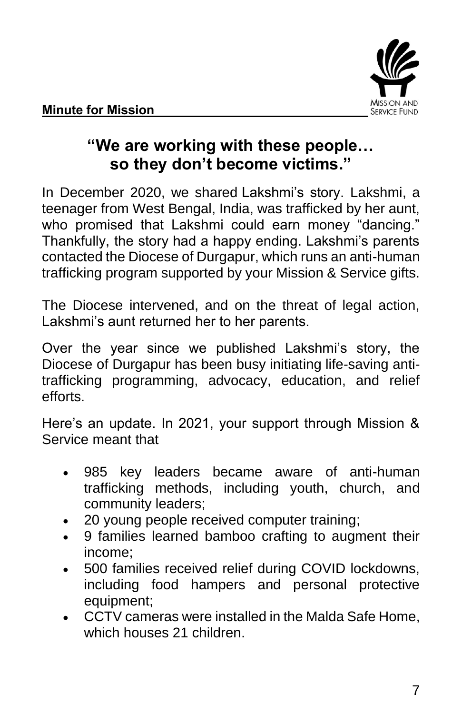

## **"We are working with these people… so they don't become victims."**

In December 2020, we shared [Lakshmi's story.](https://united-church.ca/stories/trafficked-her-aunt-lakshmis-story) Lakshmi, a teenager from West Bengal, India, was trafficked by her aunt, who promised that Lakshmi could earn money "dancing." Thankfully, the story had a happy ending. Lakshmi's parents contacted the Diocese of Durgapur, which runs an anti-human trafficking program supported by your Mission & Service gifts.

The Diocese intervened, and on the threat of legal action, Lakshmi's aunt returned her to her parents.

Over the year since we published Lakshmi's story, the Diocese of Durgapur has been busy initiating life-saving antitrafficking programming, advocacy, education, and relief efforts.

Here's an update. In 2021, your support through Mission & Service meant that

- 985 key leaders became aware of anti-human trafficking methods, including youth, church, and community leaders;
- 20 young people received computer training;
- 9 families learned bamboo crafting to augment their income;
- 500 families received relief during COVID lockdowns, including food hampers and personal protective equipment;
- CCTV cameras were installed in the Malda Safe Home, which houses 21 children.